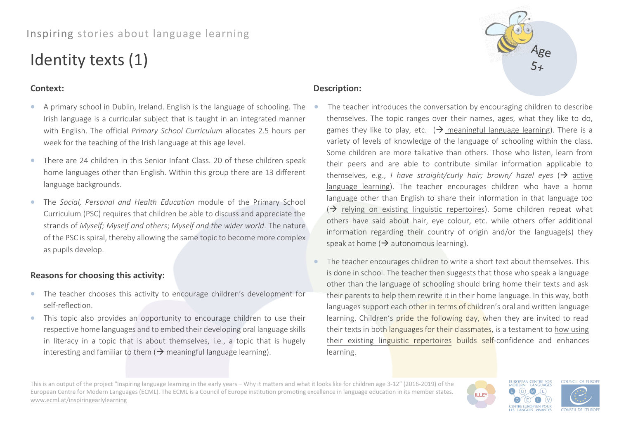# Inspiring stories about language learning

# Identity texts (1)

### **Context:**

- A primary school in Dublin, Ireland. English is the language of schooling. The Irish language is a curricular subject that is taught in an integrated manner with English. The official *Primary School Curriculum* allocates 2.5 hours per week for the teaching of the Irish language at this age level.
- There are 24 children in this Senior Infant Class. 20 of these children speak home languages other than English. Within this group there are 13 different language backgrounds.
- The *Social, Personal and Health Education* module of the Primary School Curriculum (PSC) requires that children be able to discuss and appreciate the strands of *Myself; Myself and others*; *Myself and the wider world*. The nature of the PSC is spiral, thereby allowing the same topic to become more complex as pupils develop.

# **Reasons for choosing this activity:**

- The teacher chooses this activity to encourage children's development for self-reflection.
- This topic also provides an opportunity to encourage children to use their respective home languages and to embed their developing oral language skills in literacy in a topic that is about themselves, i.e., a topic that is hugely interesting and familiar to them ( $\rightarrow$  meaningful language learning).

# **Description:**

- The teacher introduces the conversation by encouraging children to describe themselves. The topic ranges over their names, ages, what they like to do, games they like to play, etc.  $\rightarrow$  meaningful language learning). There is a variety of levels of knowledge of the language of schooling within the class. Some children are more talkative than others. Those who listen, learn from their peers and are able to contribute similar information applicable to themselves, e.g., *I have straight/curly hair; brown/ hazel eyes*  $\rightarrow$  active language learning). The teacher encourages children who have a home language other than English to share their information in that language too  $\Theta$  relying on existing linguistic repertoires). Some children repeat what others have said about hair, eye colour, etc. while others offer additional information regarding their country of origin and/or the language(s) they speak at home  $\rightarrow$  autonomous learning).
- The teacher encourages children to write a short text about themselves. This is done in school. The teacher then suggests that those who speak a language other than the language of schooling should bring home their texts and ask their parents to help them rewrite it in their home language. In this way, both languages support each other in terms of children's oral and written language learning. Children's pride the following day, when they are invited to read their texts in both languages for their classmates, is a testament to how using their existing linguistic repertoires builds self-confidence and enhances learning.

This is an output of the project "Inspiring language learning in the early years – Why it matters and what it looks like for children age 3-12" (2016-2019) of the European Centre for Modern Languages (ECML). The ECML is a Council of Europe institution promoting excellence in language education in its member states. [www.ecml.at/inspiringearlylearning](http://www.ecml.at/inspiringearlylearning)

**EUROPEAN CENTRE FOR<br>MODERN LANGUAGES**  $\left( \bigcirc \right)$  $M(L)$ **ILLEY CENTRE EUROPEEN POUR LES LANGUES VIVANTES**